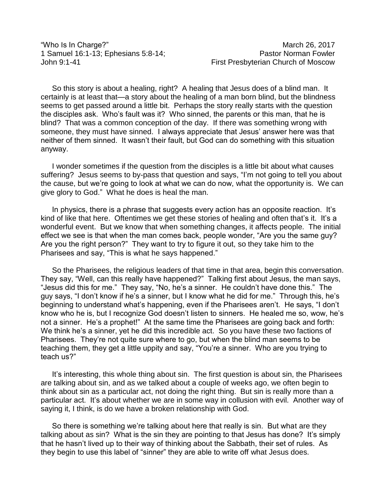"Who Is In Charge?" She was a strong of the March 26, 2017

1 Samuel 16:1-13; Ephesians 5:8-14; Pastor Norman Fowler John 9:1-41 First Presbyterian Church of Moscow

So this story is about a healing, right? A healing that Jesus does of a blind man. It certainly is at least that—a story about the healing of a man born blind, but the blindness seems to get passed around a little bit. Perhaps the story really starts with the question the disciples ask. Who's fault was it? Who sinned, the parents or this man, that he is blind? That was a common conception of the day. If there was something wrong with someone, they must have sinned. I always appreciate that Jesus' answer here was that neither of them sinned. It wasn't their fault, but God can do something with this situation anyway.

I wonder sometimes if the question from the disciples is a little bit about what causes suffering? Jesus seems to by-pass that question and says, "I'm not going to tell you about the cause, but we're going to look at what we can do now, what the opportunity is. We can give glory to God." What he does is heal the man.

In physics, there is a phrase that suggests every action has an opposite reaction. It's kind of like that here. Oftentimes we get these stories of healing and often that's it. It's a wonderful event. But we know that when something changes, it affects people. The initial effect we see is that when the man comes back, people wonder, "Are you the same guy? Are you the right person?" They want to try to figure it out, so they take him to the Pharisees and say, "This is what he says happened."

So the Pharisees, the religious leaders of that time in that area, begin this conversation. They say, "Well, can this really have happened?" Talking first about Jesus, the man says, "Jesus did this for me." They say, "No, he's a sinner. He couldn't have done this." The guy says, "I don't know if he's a sinner, but I know what he did for me." Through this, he's beginning to understand what's happening, even if the Pharisees aren't. He says, "I don't know who he is, but I recognize God doesn't listen to sinners. He healed me so, wow, he's not a sinner. He's a prophet!" At the same time the Pharisees are going back and forth: We think he's a sinner, yet he did this incredible act. So you have these two factions of Pharisees. They're not quite sure where to go, but when the blind man seems to be teaching them, they get a little uppity and say, "You're a sinner. Who are you trying to teach us?"

It's interesting, this whole thing about sin. The first question is about sin, the Pharisees are talking about sin, and as we talked about a couple of weeks ago, we often begin to think about sin as a particular act, not doing the right thing. But sin is really more than a particular act. It's about whether we are in some way in collusion with evil. Another way of saying it, I think, is do we have a broken relationship with God.

So there is something we're talking about here that really is sin. But what are they talking about as sin? What is the sin they are pointing to that Jesus has done? It's simply that he hasn't lived up to their way of thinking about the Sabbath, their set of rules. As they begin to use this label of "sinner" they are able to write off what Jesus does.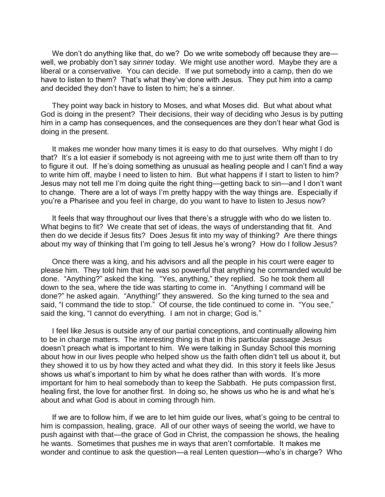We don't do anything like that, do we? Do we write somebody off because they are well, we probably don't say *sinner* today. We might use another word. Maybe they are a liberal or a conservative. You can decide. If we put somebody into a camp, then do we have to listen to them? That's what they've done with Jesus. They put him into a camp and decided they don't have to listen to him; he's a sinner.

They point way back in history to Moses, and what Moses did. But what about what God is doing in the present? Their decisions, their way of deciding who Jesus is by putting him in a camp has consequences, and the consequences are they don't hear what God is doing in the present.

It makes me wonder how many times it is easy to do that ourselves. Why might I do that? It's a lot easier if somebody is not agreeing with me to just write them off than to try to figure it out. If he's doing something as unusual as healing people and I can't find a way to write him off, maybe I need to listen to him. But what happens if I start to listen to him? Jesus may not tell me I'm doing quite the right thing—getting back to sin—and I don't want to change. There are a lot of ways I'm pretty happy with the way things are. Especially if you're a Pharisee and you feel in charge, do you want to have to listen to Jesus now?

It feels that way throughout our lives that there's a struggle with who do we listen to. What begins to fit? We create that set of ideas, the ways of understanding that fit. And then do we decide if Jesus fits? Does Jesus fit into my way of thinking? Are there things about my way of thinking that I'm going to tell Jesus he's wrong? How do I follow Jesus?

Once there was a king, and his advisors and all the people in his court were eager to please him. They told him that he was so powerful that anything he commanded would be done. "Anything?" asked the king. "Yes, anything," they replied. So he took them all down to the sea, where the tide was starting to come in. "Anything I command will be done?" he asked again. "Anything!" they answered. So the king turned to the sea and said, "I command the tide to stop." Of course, the tide continued to come in. "You see," said the king, "I cannot do everything. I am not in charge; God is."

I feel like Jesus is outside any of our partial conceptions, and continually allowing him to be in charge matters. The interesting thing is that in this particular passage Jesus doesn't preach what is important to him. We were talking in Sunday School this morning about how in our lives people who helped show us the faith often didn't tell us about it, but they showed it to us by how they acted and what they did. In this story it feels like Jesus shows us what's important to him by what he does rather than with words. It's more important for him to heal somebody than to keep the Sabbath. He puts compassion first, healing first, the love for another first. In doing so, he shows us who he is and what he's about and what God is about in coming through him.

If we are to follow him, if we are to let him guide our lives, what's going to be central to him is compassion, healing, grace. All of our other ways of seeing the world, we have to push against with that—the grace of God in Christ, the compassion he shows, the healing he wants. Sometimes that pushes me in ways that aren't comfortable. It makes me wonder and continue to ask the question—a real Lenten question—who's in charge? Who